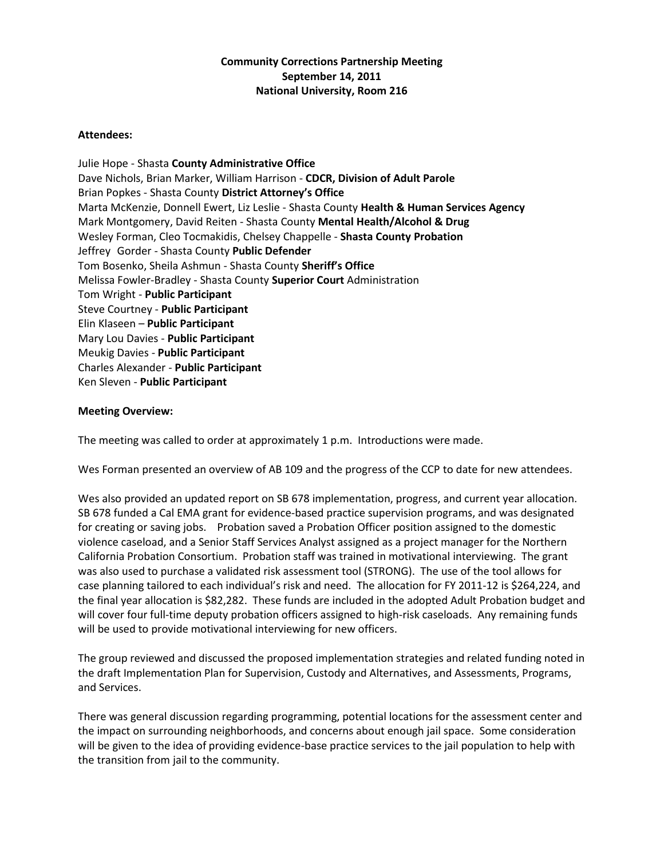## **Community Corrections Partnership Meeting September 14, 2011 National University, Room 216**

## **Attendees:**

Julie Hope - Shasta **County Administrative Office** Dave Nichols, Brian Marker, William Harrison - **CDCR, Division of Adult Parole** Brian Popkes - Shasta County **District Attorney's Office** Marta McKenzie, Donnell Ewert, Liz Leslie - Shasta County **Health & Human Services Agency** Mark Montgomery, David Reiten - Shasta County **Mental Health/Alcohol & Drug** Wesley Forman, Cleo Tocmakidis, Chelsey Chappelle - **Shasta County Probation** Jeffrey Gorder - Shasta County **Public Defender** Tom Bosenko, Sheila Ashmun - Shasta County **Sheriff's Office** Melissa Fowler-Bradley - Shasta County **Superior Court** Administration Tom Wright - **Public Participant** Steve Courtney - **Public Participant** Elin Klaseen – **Public Participant** Mary Lou Davies - **Public Participant** Meukig Davies - **Public Participant** Charles Alexander - **Public Participant** Ken Sleven - **Public Participant**

## **Meeting Overview:**

The meeting was called to order at approximately 1 p.m. Introductions were made.

Wes Forman presented an overview of AB 109 and the progress of the CCP to date for new attendees.

Wes also provided an updated report on SB 678 implementation, progress, and current year allocation. SB 678 funded a Cal EMA grant for evidence-based practice supervision programs, and was designated for creating or saving jobs. Probation saved a Probation Officer position assigned to the domestic violence caseload, and a Senior Staff Services Analyst assigned as a project manager for the Northern California Probation Consortium. Probation staff was trained in motivational interviewing. The grant was also used to purchase a validated risk assessment tool (STRONG). The use of the tool allows for case planning tailored to each individual's risk and need. The allocation for FY 2011-12 is \$264,224, and the final year allocation is \$82,282. These funds are included in the adopted Adult Probation budget and will cover four full-time deputy probation officers assigned to high-risk caseloads. Any remaining funds will be used to provide motivational interviewing for new officers.

The group reviewed and discussed the proposed implementation strategies and related funding noted in the draft Implementation Plan for Supervision, Custody and Alternatives, and Assessments, Programs, and Services.

There was general discussion regarding programming, potential locations for the assessment center and the impact on surrounding neighborhoods, and concerns about enough jail space. Some consideration will be given to the idea of providing evidence-base practice services to the jail population to help with the transition from jail to the community.